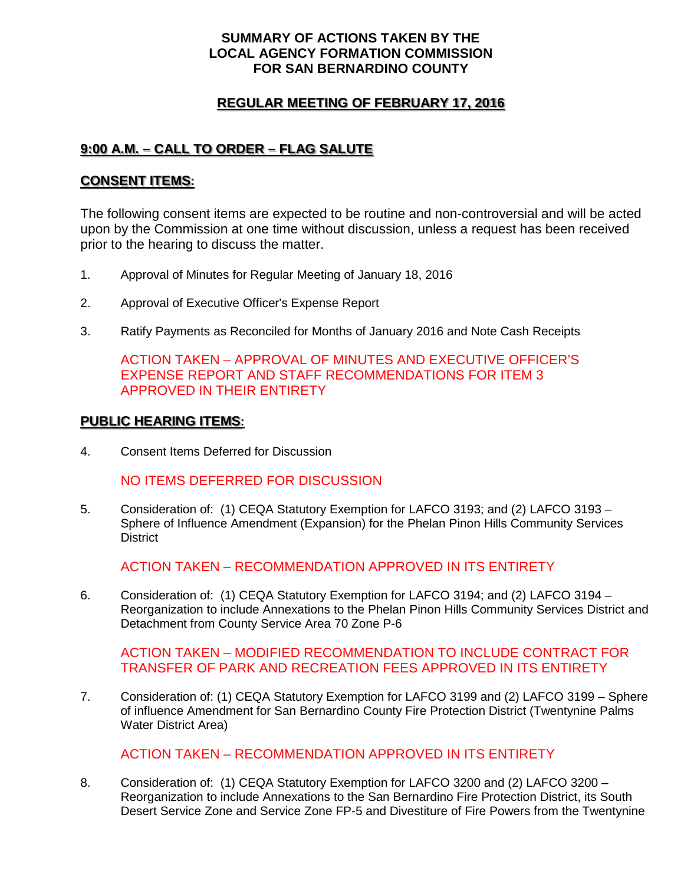## **SUMMARY OF ACTIONS TAKEN BY THE LOCAL AGENCY FORMATION COMMISSION FOR SAN BERNARDINO COUNTY**

## **REGULAR MEETING OF FEBRUARY 17, 2016**

# **9:00 A.M. – CALL TO ORDER – FLAG SALUTE**

### **CONSENT ITEMS:**

The following consent items are expected to be routine and non-controversial and will be acted upon by the Commission at one time without discussion, unless a request has been received prior to the hearing to discuss the matter.

- 1. Approval of Minutes for Regular Meeting of January 18, 2016
- 2. Approval of Executive Officer's Expense Report
- 3. Ratify Payments as Reconciled for Months of January 2016 and Note Cash Receipts

ACTION TAKEN – APPROVAL OF MINUTES AND EXECUTIVE OFFICER'S EXPENSE REPORT AND STAFF RECOMMENDATIONS FOR ITEM 3 APPROVED IN THEIR ENTIRETY

#### **PUBLIC HEARING ITEMS:**

4. Consent Items Deferred for Discussion

#### NO ITEMS DEFERRED FOR DISCUSSION

5. Consideration of: (1) CEQA Statutory Exemption for LAFCO 3193; and (2) LAFCO 3193 – Sphere of Influence Amendment (Expansion) for the Phelan Pinon Hills Community Services **District** 

ACTION TAKEN – RECOMMENDATION APPROVED IN ITS ENTIRETY

6. Consideration of: (1) CEQA Statutory Exemption for LAFCO 3194; and (2) LAFCO 3194 – Reorganization to include Annexations to the Phelan Pinon Hills Community Services District and Detachment from County Service Area 70 Zone P-6

ACTION TAKEN – MODIFIED RECOMMENDATION TO INCLUDE CONTRACT FOR TRANSFER OF PARK AND RECREATION FEES APPROVED IN ITS ENTIRETY

7. Consideration of: (1) CEQA Statutory Exemption for LAFCO 3199 and (2) LAFCO 3199 – Sphere of influence Amendment for San Bernardino County Fire Protection District (Twentynine Palms Water District Area)

ACTION TAKEN – RECOMMENDATION APPROVED IN ITS ENTIRETY

8. Consideration of: (1) CEQA Statutory Exemption for LAFCO 3200 and (2) LAFCO 3200 – Reorganization to include Annexations to the San Bernardino Fire Protection District, its South Desert Service Zone and Service Zone FP-5 and Divestiture of Fire Powers from the Twentynine